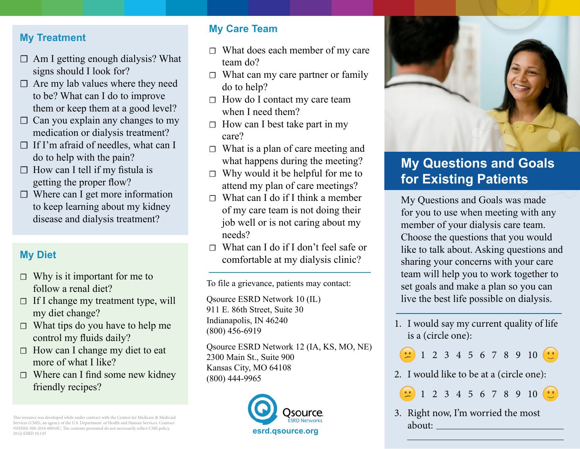#### **My Treatment**

- $\Box$  Am I getting enough dialysis? What signs should I look for?
- $\Box$  Are my lab values where they need to be? What can I do to improve them or keep them at a good level?
- $\Box$  Can you explain any changes to my medication or dialysis treatment?
- $\Box$  If I'm afraid of needles, what can I do to help with the pain?
- $\Box$  How can I tell if my fistula is getting the proper flow?
- $\Box$  Where can I get more information to keep learning about my kidney disease and dialysis treatment?

### **My Diet**

- $\Box$  Why is it important for me to follow a renal diet?
- $\Box$  If I change my treatment type, will my diet change?
- $\Box$  What tips do you have to help me control my fluids daily?
- $\Box$  How can I change my diet to eat more of what I like?
- $\Box$  Where can I find some new kidney friendly recipes?

This resource was developed while under contract with the Centers for Medicare & Medicaid Services (CMS), an agency of the U.S. Department of Health and Human Services. Contract #HHSM-500-2016-00010C. The contents presented do not necessarily reflect CMS policy.

## **My Care Team**

- ☐ What does each member of my care team do?
- $\Box$  What can my care partner or family do to help?
- ☐ How do I contact my care team when I need them?
- $\Box$  How can I best take part in my care?
- $\Box$  What is a plan of care meeting and what happens during the meeting?
- $\Box$  Why would it be helpful for me to attend my plan of care meetings?
- $\Box$  What can I do if I think a member of my care team is not doing their job well or is not caring about my needs?
- ☐ What can I do if I don't feel safe or comfortable at my dialysis clinic?

To file a grievance, patients may contact:

Qsource ESRD Network 10 (IL) 911 E. 86th Street, Suite 30 Indianapolis, IN 46240 (800) 456‐6919

Qsource ESRD Network 12 (IA, KS, MO, NE) 2300 Main St., Suite 900 Kansas City, MO 64108 (800) 444-9965





# **My Questions and Goals for Existing Patients**

My Questions and Goals was made for you to use when meeting with any member of your dialysis care team. Choose the questions that you would like to talk about. Asking questions and sharing your concerns with your care team will help you to work together to set goals and make a plan so you can live the best life possible on dialysis.

- 1. I would say my current quality of life is a (circle one):
	- 1 2 3 4 5 6 7 8 9 10
- 2. I would like to be at a (circle one):

1 2 3 4 5 6 7 8 9 10

3. Right now, I'm worried the most about: